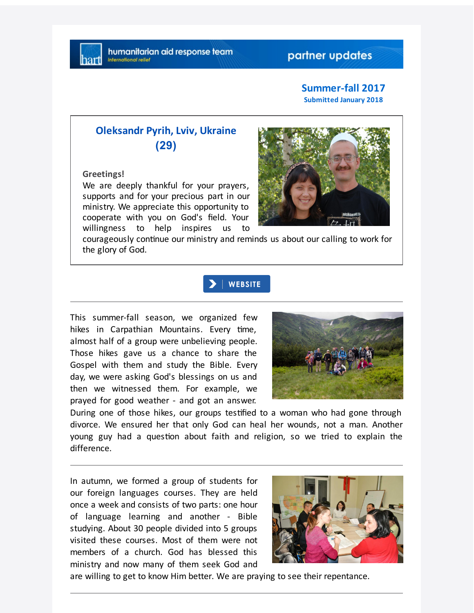### **Summer-fall 2017 Submitted January 2018**

# **Oleksandr Pyrih, Lviv, Ukraine (29)**

### **Greetings!**

We are deeply thankful for your prayers, supports and for your precious part in our ministry. We appreciate this opportunity to cooperate with you on God's field. Your willingness to help inspires us to



courageously continue our ministry and reminds us about our calling to work for the glory of God.

### **WEBSITE**

This summer-fall season, we organized few hikes in Carpathian Mountains. Every time, almost half of a group were unbelieving people. Those hikes gave us a chance to share the Gospel with them and study the Bible. Every day, we were asking God's blessings on us and then we witnessed them. For example, we prayed for good weather - and got an answer.



During one of those hikes, our groups tesfied to a woman who had gone through divorce. We ensured her that only God can heal her wounds, not a man. Another young guy had a question about faith and religion, so we tried to explain the difference.

In autumn, we formed a group of students for our foreign languages courses. They are held once a week and consists of two parts: one hour of language learning and another - Bible studying. About 30 people divided into 5 groups visited these courses. Most of them were not members of a church. God has blessed this ministry and now many of them seek God and



are willing to get to know Him better. We are praying to see their repentance.